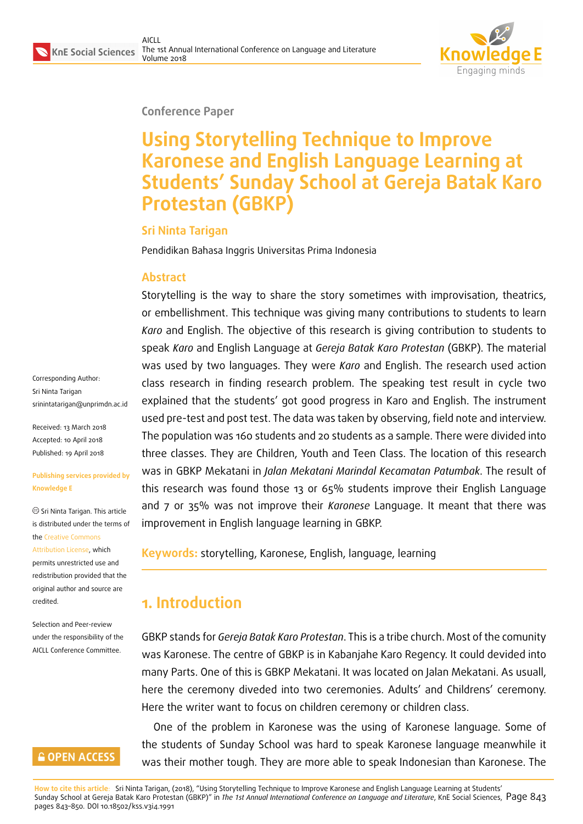

#### **Conference Paper**

# **Using Storytelling Technique to Improve Karonese and English Language Learning at Students' Sunday School at Gereja Batak Karo Protestan (GBKP)**

#### **Sri Ninta Tarigan**

Pendidikan Bahasa Inggris Universitas Prima Indonesia

#### **Abstract**

Storytelling is the way to share the story sometimes with improvisation, theatrics, or embellishment. This technique was giving many contributions to students to learn *Karo* and English. The objective of this research is giving contribution to students to speak *Karo* and English Language at *Gereja Batak Karo Protestan* (GBKP). The material was used by two languages. They were *Karo* and English. The research used action class research in finding research problem. The speaking test result in cycle two explained that the students' got good progress in Karo and English. The instrument used pre-test and post test. The data was taken by observing, field note and interview. The population was 160 students and 20 students as a sample. There were divided into three classes. They are Children, Youth and Teen Class. The location of this research was in GBKP Mekatani in *Jalan Mekatani Marindal Kecamatan Patumbak*. The result of this research was found those 13 or 65% students improve their English Language and 7 or 35% was not improve their *Karonese* Language. It meant that there was improvement in English language learning in GBKP.

**Keywords:** storytelling, Karonese, English, language, learning

## **1. Introduction**

GBKP stands for *Gereja Batak Karo Protestan*. This is a tribe church. Most of the comunity was Karonese. The centre of GBKP is in Kabanjahe Karo Regency. It could devided into many Parts. One of this is GBKP Mekatani. It was located on Jalan Mekatani. As usuall, here the ceremony diveded into two ceremonies. Adults' and Childrens' ceremony. Here the writer want to focus on children ceremony or children class.

One of the problem in Karonese was the using of Karonese language. Some of the students of Sunday School was hard to speak Karonese language meanwhile it was their mother tough. They are more able to speak Indonesian than Karonese. The

Sri Ninta Tarigan srinintatarigan@unprimdn.ac.id

Received: 13 March 2018 Accepted: 10 April 2018 [Published: 19 April 2018](mailto:srinintatarigan@unprimdn.ac.id)

Corresponding Author:

#### **Publishing services provided by Knowledge E**

Sri Ninta Tarigan. This article is distributed under the terms of the Creative Commons Attribution License, which permits unrestricted use and

redistribution provided that the ori[ginal author and sou](https://creativecommons.org/licenses/by/4.0/)rce are [credited.](https://creativecommons.org/licenses/by/4.0/)

Selection and Peer-review under the responsibility of the AICLL Conference Committee.

#### **GOPEN ACCESS**

**How to cite this article**: Sri Ninta Tarigan, (2018), "Using Storytelling Technique to Improve Karonese and English Language Learning at Students' Sunday School at Gereja Batak Karo Protestan (GBKP)" in *The 1st Annual International Conference on Language and Literature,* KnE Social Sciences, Page 843 pages 843–850. DOI 10.18502/kss.v3i4.1991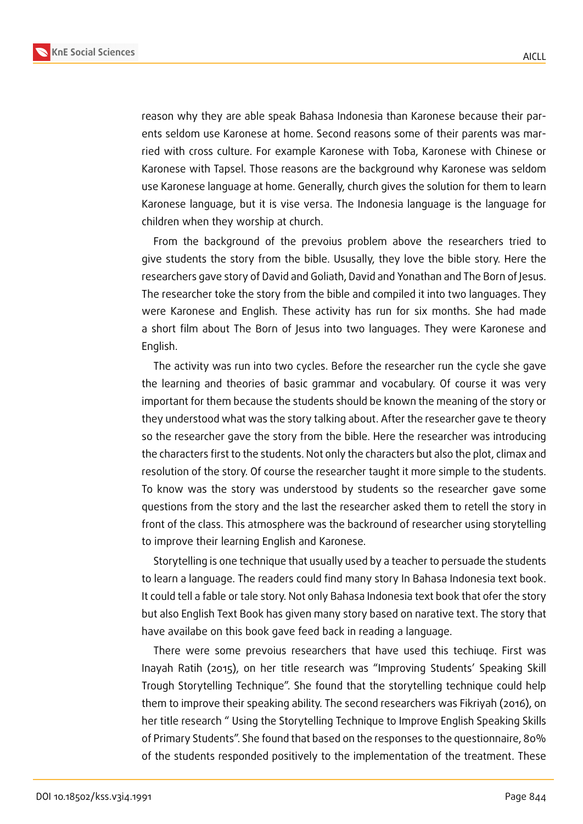



reason why they are able speak Bahasa Indonesia than Karonese because their parents seldom use Karonese at home. Second reasons some of their parents was married with cross culture. For example Karonese with Toba, Karonese with Chinese or Karonese with Tapsel. Those reasons are the background why Karonese was seldom use Karonese language at home. Generally, church gives the solution for them to learn Karonese language, but it is vise versa. The Indonesia language is the language for children when they worship at church.

From the background of the prevoius problem above the researchers tried to give students the story from the bible. Ususally, they love the bible story. Here the researchers gave story of David and Goliath, David and Yonathan and The Born of Jesus. The researcher toke the story from the bible and compiled it into two languages. They were Karonese and English. These activity has run for six months. She had made a short film about The Born of Jesus into two languages. They were Karonese and English.

The activity was run into two cycles. Before the researcher run the cycle she gave the learning and theories of basic grammar and vocabulary. Of course it was very important for them because the students should be known the meaning of the story or they understood what was the story talking about. After the researcher gave te theory so the researcher gave the story from the bible. Here the researcher was introducing the characters first to the students. Not only the characters but also the plot, climax and resolution of the story. Of course the researcher taught it more simple to the students. To know was the story was understood by students so the researcher gave some questions from the story and the last the researcher asked them to retell the story in front of the class. This atmosphere was the backround of researcher using storytelling to improve their learning English and Karonese.

Storytelling is one technique that usually used by a teacher to persuade the students to learn a language. The readers could find many story In Bahasa Indonesia text book. It could tell a fable or tale story. Not only Bahasa Indonesia text book that ofer the story but also English Text Book has given many story based on narative text. The story that have availabe on this book gave feed back in reading a language.

There were some prevoius researchers that have used this techiuqe. First was Inayah Ratih (2015), on her title research was "Improving Students' Speaking Skill Trough Storytelling Technique". She found that the storytelling technique could help them to improve their speaking ability. The second researchers was Fikriyah (2016), on her title research " Using the Storytelling Technique to Improve English Speaking Skills of Primary Students". She found that based on the responses to the questionnaire, 80% of the students responded positively to the implementation of the treatment. These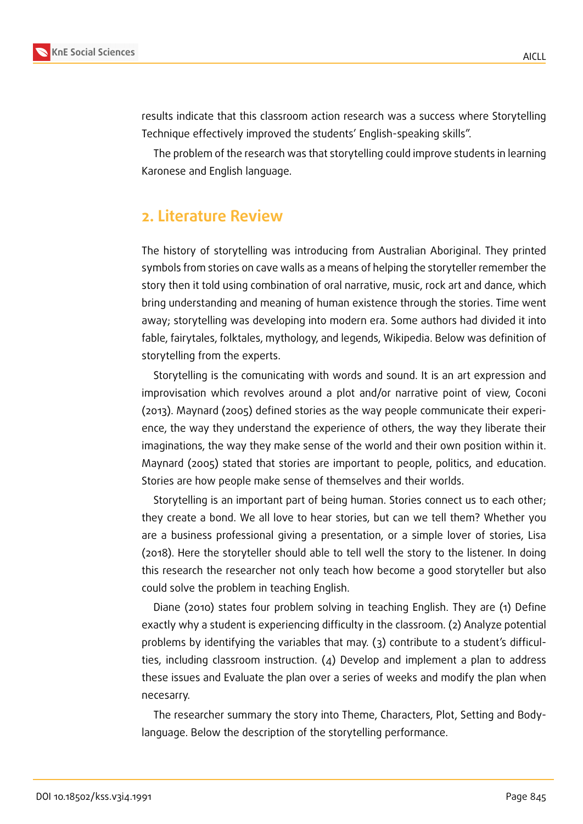

results indicate that this classroom action research was a success where Storytelling Technique effectively improved the students' English-speaking skills".

The problem of the research was that storytelling could improve students in learning Karonese and English language.

## **2. Literature Review**

The history of storytelling was introducing from Australian Aboriginal. They printed symbols from stories on cave walls as a means of helping the storyteller remember the story then it told using combination of oral narrative, music, rock art and dance, which bring understanding and meaning of human existence through the stories. Time went away; storytelling was developing into modern era. Some authors had divided it into fable, fairytales, folktales, mythology, and legends, Wikipedia. Below was definition of storytelling from the experts.

Storytelling is the comunicating with words and sound. It is an art expression and improvisation which revolves around a plot and/or narrative point of view, Coconi (2013). Maynard (2005) defined stories as the way people communicate their experience, the way they understand the experience of others, the way they liberate their imaginations, the way they make sense of the world and their own position within it. Maynard (2005) stated that stories are important to people, politics, and education. Stories are how people make sense of themselves and their worlds.

Storytelling is an important part of being human. Stories connect us to each other; they create a bond. We all love to hear stories, but can we tell them? Whether you are a business professional giving a presentation, or a simple lover of stories, Lisa (2018). Here the storyteller should able to tell well the story to the listener. In doing this research the researcher not only teach how become a good storyteller but also could solve the problem in teaching English.

Diane (2010) states four problem solving in teaching English. They are (1) Define exactly why a student is experiencing difficulty in the classroom. (2) Analyze potential problems by identifying the variables that may. (3) contribute to a student's difficulties, including classroom instruction. (4) Develop and implement a plan to address these issues and Evaluate the plan over a series of weeks and modify the plan when necesarry.

The researcher summary the story into Theme, Characters, Plot, Setting and Bodylanguage. Below the description of the storytelling performance.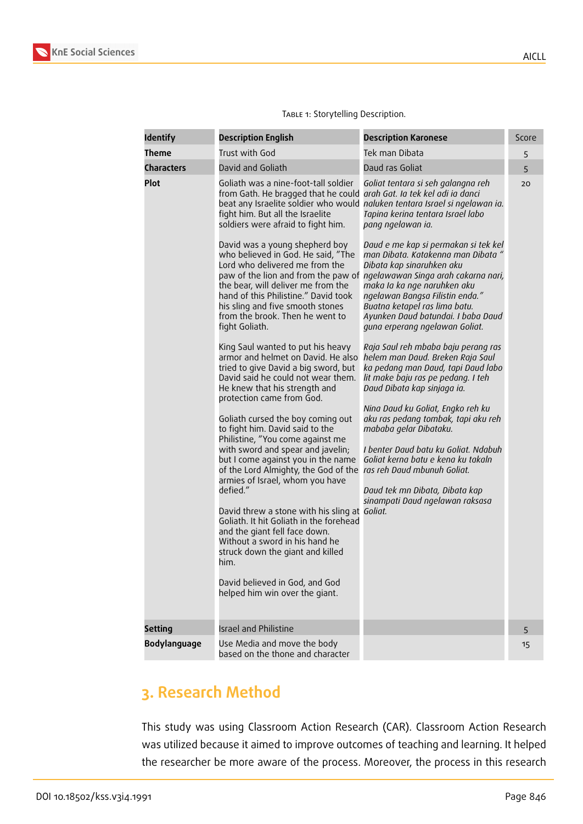

| <b>Identify</b>   | <b>Description English</b>                                                                                                                                                                                                                                                                                                                                                                                                                                                                                                                                                                                                                                                                                                                                                                                                                                                                                                                                                                                                                                                                                                                                                                                                                                   | <b>Description Karonese</b>                                                                                                                                                                                                                                                                                                                                                                                                                                                                                                                                                                                                                                                                                                                                                                                                                                                                                                                                                                                                | Score |
|-------------------|--------------------------------------------------------------------------------------------------------------------------------------------------------------------------------------------------------------------------------------------------------------------------------------------------------------------------------------------------------------------------------------------------------------------------------------------------------------------------------------------------------------------------------------------------------------------------------------------------------------------------------------------------------------------------------------------------------------------------------------------------------------------------------------------------------------------------------------------------------------------------------------------------------------------------------------------------------------------------------------------------------------------------------------------------------------------------------------------------------------------------------------------------------------------------------------------------------------------------------------------------------------|----------------------------------------------------------------------------------------------------------------------------------------------------------------------------------------------------------------------------------------------------------------------------------------------------------------------------------------------------------------------------------------------------------------------------------------------------------------------------------------------------------------------------------------------------------------------------------------------------------------------------------------------------------------------------------------------------------------------------------------------------------------------------------------------------------------------------------------------------------------------------------------------------------------------------------------------------------------------------------------------------------------------------|-------|
| <b>Theme</b>      | Trust with God                                                                                                                                                                                                                                                                                                                                                                                                                                                                                                                                                                                                                                                                                                                                                                                                                                                                                                                                                                                                                                                                                                                                                                                                                                               | Tek man Dibata                                                                                                                                                                                                                                                                                                                                                                                                                                                                                                                                                                                                                                                                                                                                                                                                                                                                                                                                                                                                             | 5     |
| <b>Characters</b> | David and Goliath                                                                                                                                                                                                                                                                                                                                                                                                                                                                                                                                                                                                                                                                                                                                                                                                                                                                                                                                                                                                                                                                                                                                                                                                                                            | Daud ras Goliat                                                                                                                                                                                                                                                                                                                                                                                                                                                                                                                                                                                                                                                                                                                                                                                                                                                                                                                                                                                                            | 5     |
| Plot              | Goliath was a nine-foot-tall soldier<br>from Gath. He bragged that he could arah Gat. Ia tek kel adi ia danci<br>fight him. But all the Israelite<br>soldiers were afraid to fight him.<br>David was a young shepherd boy<br>who believed in God. He said, "The<br>Lord who delivered me from the<br>the bear, will deliver me from the<br>hand of this Philistine." David took<br>his sling and five smooth stones<br>from the brook. Then he went to<br>fight Goliath.<br>King Saul wanted to put his heavy<br>armor and helmet on David. He also<br>tried to give David a big sword, but<br>David said he could not wear them.<br>He knew that his strength and<br>protection came from God.<br>Goliath cursed the boy coming out<br>to fight him. David said to the<br>Philistine, "You come against me<br>with sword and spear and javelin;<br>but I come against you in the name<br>of the Lord Almighty, the God of the<br>armies of Israel, whom you have<br>defied."<br>David threw a stone with his sling at Goliat.<br>Goliath. It hit Goliath in the forehead<br>and the giant fell face down.<br>Without a sword in his hand he<br>struck down the giant and killed<br>him.<br>David believed in God, and God<br>helped him win over the giant. | Goliat tentara si seh galangna reh<br>beat any Israelite soldier who would naluken tentara Israel si ngelawan ia.<br>Tapina kerina tentara Israel labo<br>pang ngelawan ia.<br>Daud e me kap si permakan si tek kel<br>man Dibata. Katakenna man Dibata "<br>Dibata kap sinaruhken aku<br>paw of the lion and from the paw of ngelawawan Singa arah cakarna nari,<br>maka Ia ka nge naruhken aku<br>ngelawan Bangsa Filistin enda."<br>Buatna ketapel ras lima batu.<br>Ayunken Daud batundai. I baba Daud<br>guna erperang ngelawan Goliat.<br>Raja Saul reh mbaba baju perang ras<br>helem man Daud. Breken Raja Saul<br>ka pedang man Daud, tapi Daud labo<br>lit make baju ras pe pedang. I teh<br>Daud Dibata kap sinjaga ia.<br>Nina Daud ku Goliat, Engko reh ku<br>aku ras pedang tombak, tapi aku reh<br>mababa gelar Dibataku.<br>I benter Daud batu ku Goliat. Ndabuh<br>Goliat kerna batu e kena ku takaln<br>ras reh Daud mbunuh Goliat.<br>Daud tek mn Dibata, Dibata kap<br>sinampati Daud ngelawan raksasa | 20    |
| <b>Setting</b>    | <b>Israel and Philistine</b>                                                                                                                                                                                                                                                                                                                                                                                                                                                                                                                                                                                                                                                                                                                                                                                                                                                                                                                                                                                                                                                                                                                                                                                                                                 |                                                                                                                                                                                                                                                                                                                                                                                                                                                                                                                                                                                                                                                                                                                                                                                                                                                                                                                                                                                                                            |       |
|                   |                                                                                                                                                                                                                                                                                                                                                                                                                                                                                                                                                                                                                                                                                                                                                                                                                                                                                                                                                                                                                                                                                                                                                                                                                                                              |                                                                                                                                                                                                                                                                                                                                                                                                                                                                                                                                                                                                                                                                                                                                                                                                                                                                                                                                                                                                                            | 5     |
| Bodylanguage      | Use Media and move the body<br>based on the thone and character                                                                                                                                                                                                                                                                                                                                                                                                                                                                                                                                                                                                                                                                                                                                                                                                                                                                                                                                                                                                                                                                                                                                                                                              |                                                                                                                                                                                                                                                                                                                                                                                                                                                                                                                                                                                                                                                                                                                                                                                                                                                                                                                                                                                                                            | 15    |

#### TABLE 1: Storytelling Description.

# **3. Research Method**

This study was using Classroom Action Research (CAR). Classroom Action Research was utilized because it aimed to improve outcomes of teaching and learning. It helped the researcher be more aware of the process. Moreover, the process in this research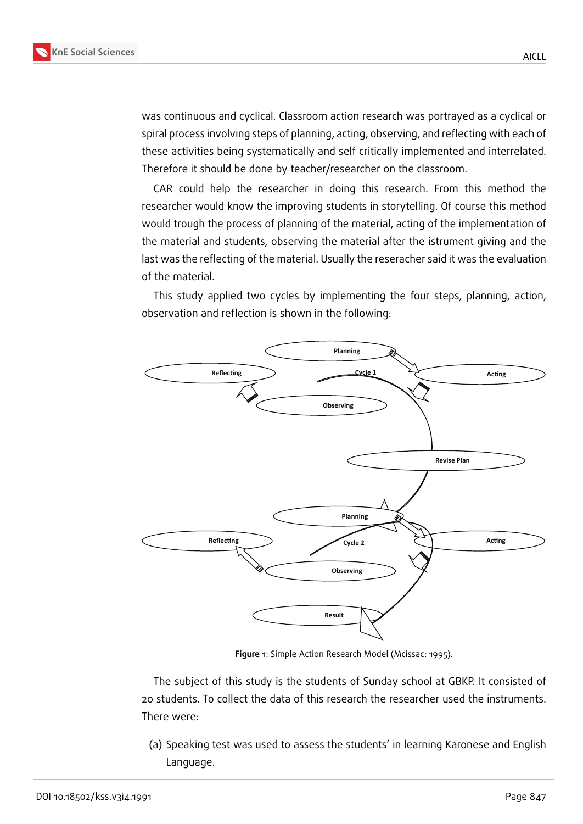

was continuous and cyclical. Classroom action research was portrayed as a cyclical or spiral process involving steps of planning, acting, observing, and reflecting with each of these activities being systematically and self critically implemented and interrelated. Therefore it should be done by teacher/researcher on the classroom.

CAR could help the researcher in doing this research. From this method the researcher would know the improving students in storytelling. Of course this method would trough the process of planning of the material, acting of the implementation of the material and students, observing the material after the istrument giving and the last was the reflecting of the material. Usually the reseracher said it was the evaluation of the material.

This study applied two cycles by implementing the four steps, planning, action, observation and reflection is shown in the following:



**Figure** 1: Simple Action Research Model (Mcissac: 1995).

The subject of this study is the students of Sunday school at GBKP. It consisted of 20 students. To collect the data of this research the researcher used the instruments. There were:

(a) Speaking test was used to assess the students' in learning Karonese and English Language.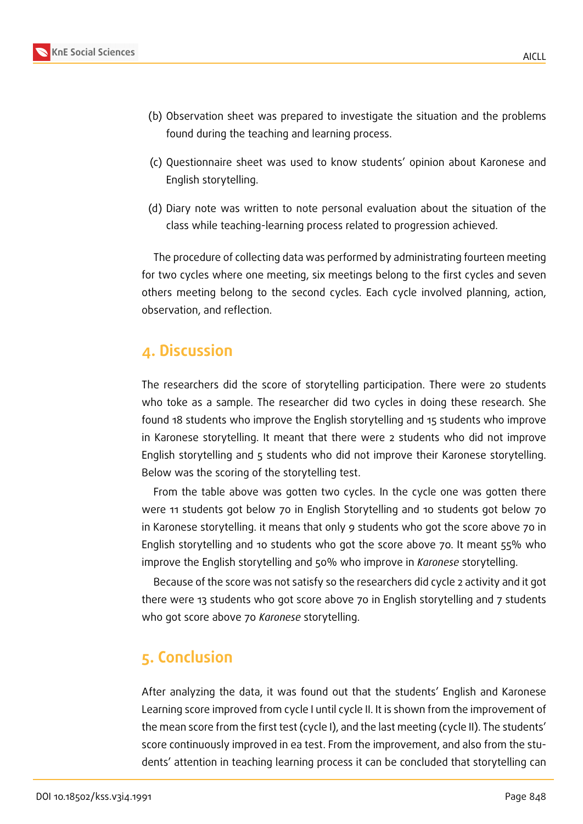

- (c) Questionnaire sheet was used to know students' opinion about Karonese and English storytelling.
- (d) Diary note was written to note personal evaluation about the situation of the class while teaching-learning process related to progression achieved.

The procedure of collecting data was performed by administrating fourteen meeting for two cycles where one meeting, six meetings belong to the first cycles and seven others meeting belong to the second cycles. Each cycle involved planning, action, observation, and reflection.

### **4. Discussion**

The researchers did the score of storytelling participation. There were 20 students who toke as a sample. The researcher did two cycles in doing these research. She found 18 students who improve the English storytelling and 15 students who improve in Karonese storytelling. It meant that there were 2 students who did not improve English storytelling and 5 students who did not improve their Karonese storytelling. Below was the scoring of the storytelling test.

From the table above was gotten two cycles. In the cycle one was gotten there were 11 students got below 70 in English Storytelling and 10 students got below 70 in Karonese storytelling. it means that only 9 students who got the score above 70 in English storytelling and 10 students who got the score above 70. It meant 55% who improve the English storytelling and 50% who improve in *Karonese* storytelling.

Because of the score was not satisfy so the researchers did cycle 2 activity and it got there were 13 students who got score above 70 in English storytelling and 7 students who got score above 70 *Karonese* storytelling.

### **5. Conclusion**

After analyzing the data, it was found out that the students' English and Karonese Learning score improved from cycle I until cycle II. It is shown from the improvement of the mean score from the first test (cycle I), and the last meeting (cycle II). The students' score continuously improved in ea test. From the improvement, and also from the students' attention in teaching learning process it can be concluded that storytelling can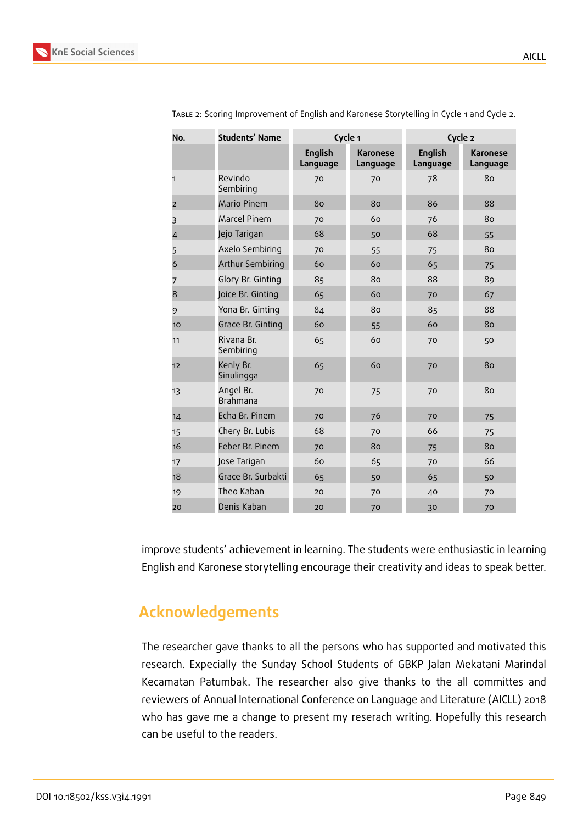

| No.            | <b>Students' Name</b>   | Cycle 1                    |                      | Cycle 2                    |                             |
|----------------|-------------------------|----------------------------|----------------------|----------------------------|-----------------------------|
|                |                         | <b>English</b><br>Language | Karonese<br>Language | <b>English</b><br>Language | <b>Karonese</b><br>Language |
| 1              | Revindo<br>Sembiring    | 70                         | 70                   | 78                         | 80                          |
| $\overline{2}$ | Mario Pinem             | 80                         | 80                   | 86                         | 88                          |
| 3              | Marcel Pinem            | 70                         | 60                   | 76                         | 80                          |
| $\overline{4}$ | Jejo Tarigan            | 68                         | 50                   | 68                         | 55                          |
| 5              | Axelo Sembiring         | 70                         | 55                   | 75                         | 80                          |
| 6              | Arthur Sembiring        | 60                         | 60                   | 65                         | 75                          |
| 7              | Glory Br. Ginting       | 85                         | 80                   | 88                         | 89                          |
| 8              | Joice Br. Ginting       | 65                         | 60                   | 70                         | 67                          |
| 9              | Yona Br. Ginting        | 84                         | 80                   | 85                         | 88                          |
| 10             | Grace Br. Ginting       | 60                         | 55                   | 60                         | 80                          |
| 11             | Rivana Br.<br>Sembiring | 65                         | 60                   | 70                         | 50                          |
| 12             | Kenly Br.<br>Sinulingga | 65                         | 60                   | 70                         | 80                          |
| 13             | Angel Br.<br>Brahmana   | 70                         | 75                   | 70                         | 80                          |
| 14             | Echa Br. Pinem          | 70                         | 76                   | 70                         | 75                          |
| 15             | Chery Br. Lubis         | 68                         | 70                   | 66                         | 75                          |
| 16             | Feber Br. Pinem         | 70                         | 80                   | 75                         | 80                          |
| 17             | Jose Tarigan            | 60                         | 65                   | 70                         | 66                          |
| 18             | Grace Br. Surbakti      | 65                         | 50                   | 65                         | 50                          |
| 19             | Theo Kaban              | 20                         | 70                   | 40                         | 70                          |
| 20             | Denis Kaban             | 20                         | 70                   | 30                         | 70                          |

Table 2: Scoring Improvement of English and Karonese Storytelling in Cycle 1 and Cycle 2.

improve students' achievement in learning. The students were enthusiastic in learning English and Karonese storytelling encourage their creativity and ideas to speak better.

# **Acknowledgements**

The researcher gave thanks to all the persons who has supported and motivated this research. Expecially the Sunday School Students of GBKP Jalan Mekatani Marindal Kecamatan Patumbak. The researcher also give thanks to the all committes and reviewers of Annual International Conference on Language and Literature (AICLL) 2018 who has gave me a change to present my reserach writing. Hopefully this research can be useful to the readers.